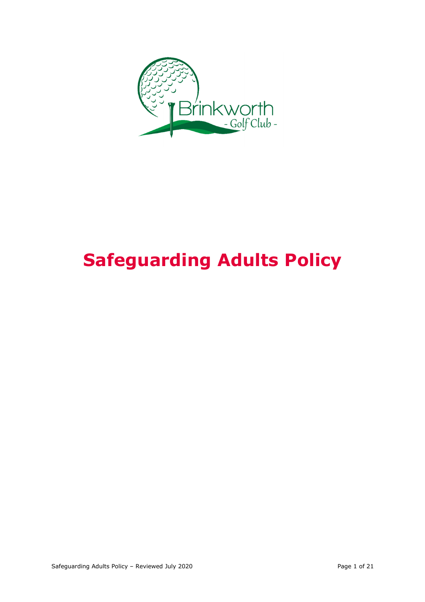

# **Safeguarding Adults Policy**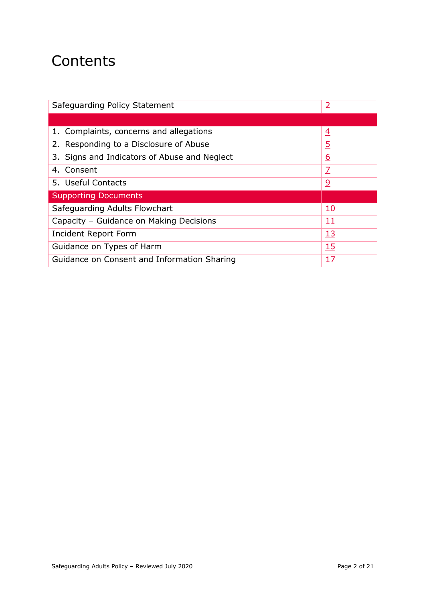## **Contents**

| Safeguarding Policy Statement                | <u>2</u>       |
|----------------------------------------------|----------------|
|                                              |                |
| 1. Complaints, concerns and allegations      | $\overline{4}$ |
| 2. Responding to a Disclosure of Abuse       | $\overline{5}$ |
| 3. Signs and Indicators of Abuse and Neglect | <u>6</u>       |
| 4. Consent                                   | $\overline{Z}$ |
| 5. Useful Contacts                           | <u>୨</u>       |
| <b>Supporting Documents</b>                  |                |
| Safeguarding Adults Flowchart                | <u>10</u>      |
| Capacity - Guidance on Making Decisions      | <u> 11</u>     |
| Incident Report Form                         | <u>13</u>      |
| Guidance on Types of Harm                    | <u>15</u>      |
| Guidance on Consent and Information Sharing  | <u>17</u>      |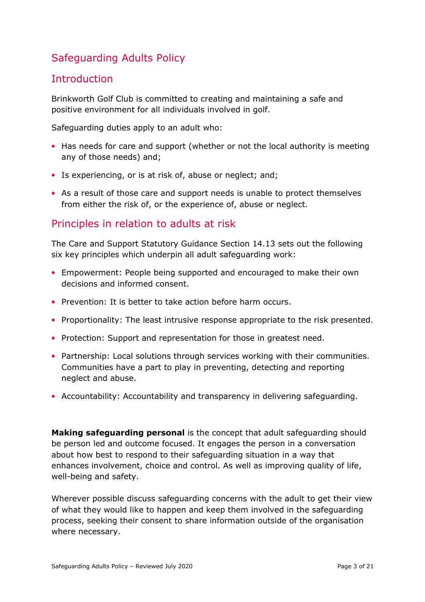## Safeguarding Adults Policy

## **Introduction**

Brinkworth Golf Club is committed to creating and maintaining a safe and positive environment for all individuals involved in golf.

Safeguarding duties apply to an adult who:

- Has needs for care and support (whether or not the local authority is meeting any of those needs) and;
- Is experiencing, or is at risk of, abuse or neglect; and;
- As a result of those care and support needs is unable to protect themselves from either the risk of, or the experience of, abuse or neglect.

#### Principles in relation to adults at risk

The Care and Support Statutory Guidance Section 14.13 sets out the following six key principles which underpin all adult safeguarding work:

- Empowerment: People being supported and encouraged to make their own decisions and informed consent.
- Prevention: It is better to take action before harm occurs.
- Proportionality: The least intrusive response appropriate to the risk presented.
- Protection: Support and representation for those in greatest need.
- Partnership: Local solutions through services working with their communities. Communities have a part to play in preventing, detecting and reporting neglect and abuse.
- Accountability: Accountability and transparency in delivering safeguarding.

**Making safeguarding personal** is the concept that adult safeguarding should be person led and outcome focused. It engages the person in a conversation about how best to respond to their safeguarding situation in a way that enhances involvement, choice and control. As well as improving quality of life, well-being and safety.

Wherever possible discuss safeguarding concerns with the adult to get their view of what they would like to happen and keep them involved in the safeguarding process, seeking their consent to share information outside of the organisation where necessary.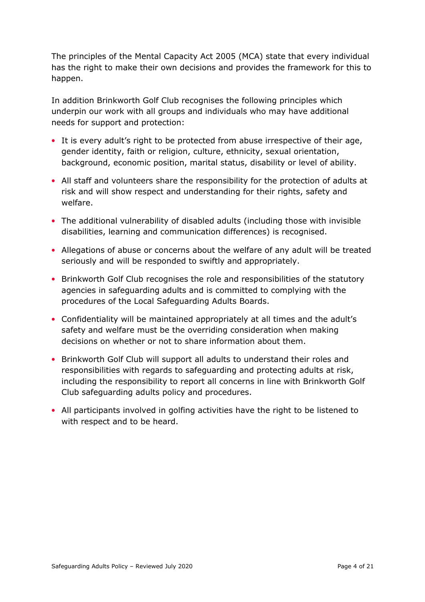The principles of the Mental Capacity Act 2005 (MCA) state that every individual has the right to make their own decisions and provides the framework for this to happen.

In addition Brinkworth Golf Club recognises the following principles which underpin our work with all groups and individuals who may have additional needs for support and protection:

- It is every adult's right to be protected from abuse irrespective of their age, gender identity, faith or religion, culture, ethnicity, sexual orientation, background, economic position, marital status, disability or level of ability.
- All staff and volunteers share the responsibility for the protection of adults at risk and will show respect and understanding for their rights, safety and welfare.
- The additional vulnerability of disabled adults (including those with invisible disabilities, learning and communication differences) is recognised.
- Allegations of abuse or concerns about the welfare of any adult will be treated seriously and will be responded to swiftly and appropriately.
- Brinkworth Golf Club recognises the role and responsibilities of the statutory agencies in safeguarding adults and is committed to complying with the procedures of the Local Safeguarding Adults Boards.
- Confidentiality will be maintained appropriately at all times and the adult's safety and welfare must be the overriding consideration when making decisions on whether or not to share information about them.
- Brinkworth Golf Club will support all adults to understand their roles and responsibilities with regards to safeguarding and protecting adults at risk, including the responsibility to report all concerns in line with Brinkworth Golf Club safeguarding adults policy and procedures.
- All participants involved in golfing activities have the right to be listened to with respect and to be heard.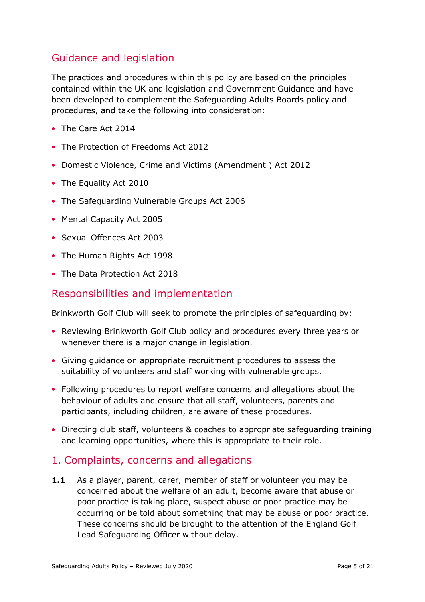## Guidance and legislation

The practices and procedures within this policy are based on the principles contained within the UK and legislation and Government Guidance and have been developed to complement the Safeguarding Adults Boards policy and procedures, and take the following into consideration:

- The Care Act 2014
- The Protection of Freedoms Act 2012
- Domestic Violence, Crime and Victims (Amendment ) Act 2012
- The Equality Act 2010
- The Safeguarding Vulnerable Groups Act 2006
- Mental Capacity Act 2005
- Sexual Offences Act 2003
- The Human Rights Act 1998
- The Data Protection Act 2018

## Responsibilities and implementation

Brinkworth Golf Club will seek to promote the principles of safeguarding by:

- Reviewing Brinkworth Golf Club policy and procedures every three years or whenever there is a major change in legislation.
- Giving guidance on appropriate recruitment procedures to assess the suitability of volunteers and staff working with vulnerable groups.
- Following procedures to report welfare concerns and allegations about the behaviour of adults and ensure that all staff, volunteers, parents and participants, including children, are aware of these procedures.
- Directing club staff, volunteers & coaches to appropriate safeguarding training and learning opportunities, where this is appropriate to their role.

#### 1. Complaints, concerns and allegations

**1.1** As a player, parent, carer, member of staff or volunteer you may be concerned about the welfare of an adult, become aware that abuse or poor practice is taking place, suspect abuse or poor practice may be occurring or be told about something that may be abuse or poor practice. These concerns should be brought to the attention of the England Golf Lead Safeguarding Officer without delay.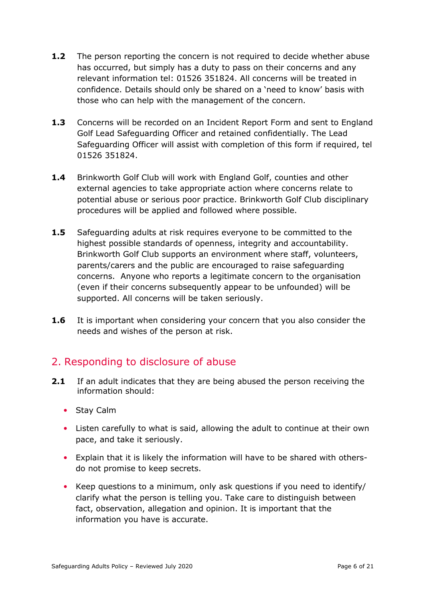- **1.2** The person reporting the concern is not required to decide whether abuse has occurred, but simply has a duty to pass on their concerns and any relevant information tel: 01526 351824. All concerns will be treated in confidence. Details should only be shared on a 'need to know' basis with those who can help with the management of the concern.
- **1.3** Concerns will be recorded on an Incident Report Form and sent to England Golf Lead Safeguarding Officer and retained confidentially. The Lead Safeguarding Officer will assist with completion of this form if required, tel 01526 351824.
- **1.4** Brinkworth Golf Club will work with England Golf, counties and other external agencies to take appropriate action where concerns relate to potential abuse or serious poor practice. Brinkworth Golf Club disciplinary procedures will be applied and followed where possible.
- **1.5** Safeguarding adults at risk requires everyone to be committed to the highest possible standards of openness, integrity and accountability. Brinkworth Golf Club supports an environment where staff, volunteers, parents/carers and the public are encouraged to raise safeguarding concerns. Anyone who reports a legitimate concern to the organisation (even if their concerns subsequently appear to be unfounded) will be supported. All concerns will be taken seriously.
- **1.6** It is important when considering your concern that you also consider the needs and wishes of the person at risk.

## 2. Responding to disclosure of abuse

- **2.1** If an adult indicates that they are being abused the person receiving the information should:
	- Stay Calm
	- Listen carefully to what is said, allowing the adult to continue at their own pace, and take it seriously.
	- Explain that it is likely the information will have to be shared with othersdo not promise to keep secrets.
	- Keep questions to a minimum, only ask questions if you need to identify/ clarify what the person is telling you. Take care to distinguish between fact, observation, allegation and opinion. It is important that the information you have is accurate.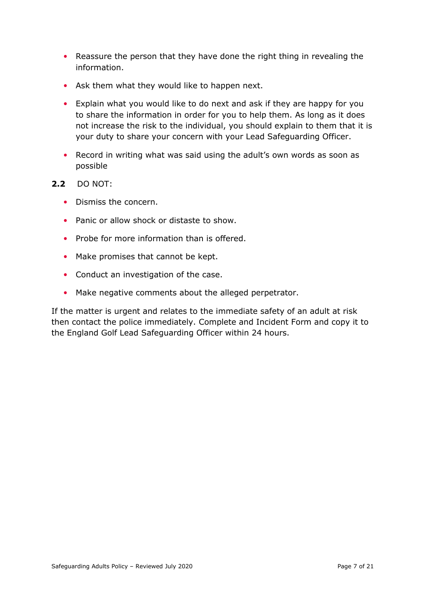- Reassure the person that they have done the right thing in revealing the information.
- Ask them what they would like to happen next.
- Explain what you would like to do next and ask if they are happy for you to share the information in order for you to help them. As long as it does not increase the risk to the individual, you should explain to them that it is your duty to share your concern with your Lead Safeguarding Officer.
- Record in writing what was said using the adult's own words as soon as possible
- **2.2** DO NOT:
	- Dismiss the concern.
	- Panic or allow shock or distaste to show.
	- Probe for more information than is offered.
	- Make promises that cannot be kept.
	- Conduct an investigation of the case.
	- Make negative comments about the alleged perpetrator.

If the matter is urgent and relates to the immediate safety of an adult at risk then contact the police immediately. Complete and Incident Form and copy it to the England Golf Lead Safeguarding Officer within 24 hours.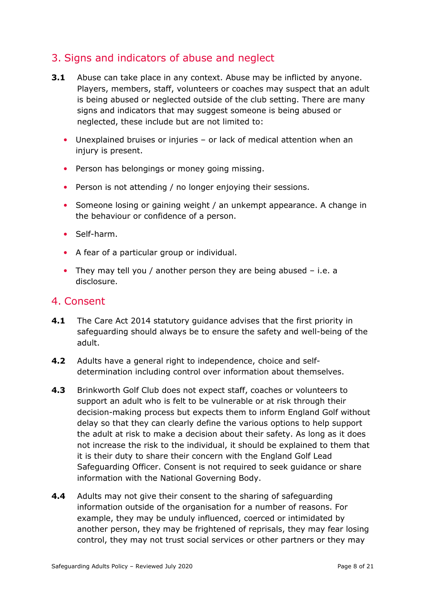## 3. Signs and indicators of abuse and neglect

- **3.1** Abuse can take place in any context. Abuse may be inflicted by anyone. Players, members, staff, volunteers or coaches may suspect that an adult is being abused or neglected outside of the club setting. There are many signs and indicators that may suggest someone is being abused or neglected, these include but are not limited to:
	- Unexplained bruises or injuries or lack of medical attention when an injury is present.
	- Person has belongings or money going missing.
	- Person is not attending / no longer enjoying their sessions.
	- Someone losing or gaining weight / an unkempt appearance. A change in the behaviour or confidence of a person.
	- Self-harm.
	- A fear of a particular group or individual.
	- They may tell you / another person they are being abused i.e. a disclosure.

#### 4. Consent

- **4.1** The Care Act 2014 statutory guidance advises that the first priority in safeguarding should always be to ensure the safety and well-being of the adult.
- **4.2** Adults have a general right to independence, choice and selfdetermination including control over information about themselves.
- **4.3** Brinkworth Golf Club does not expect staff, coaches or volunteers to support an adult who is felt to be vulnerable or at risk through their decision-making process but expects them to inform England Golf without delay so that they can clearly define the various options to help support the adult at risk to make a decision about their safety. As long as it does not increase the risk to the individual, it should be explained to them that it is their duty to share their concern with the England Golf Lead Safeguarding Officer. Consent is not required to seek guidance or share information with the National Governing Body.
- **4.4** Adults may not give their consent to the sharing of safeguarding information outside of the organisation for a number of reasons. For example, they may be unduly influenced, coerced or intimidated by another person, they may be frightened of reprisals, they may fear losing control, they may not trust social services or other partners or they may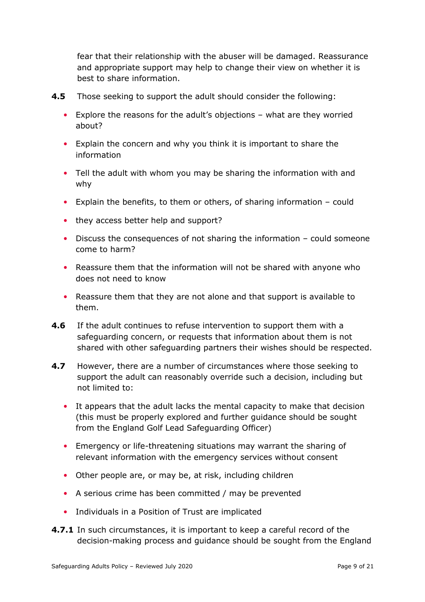fear that their relationship with the abuser will be damaged. Reassurance and appropriate support may help to change their view on whether it is best to share information.

- **4.5** Those seeking to support the adult should consider the following:
	- Explore the reasons for the adult's objections what are they worried about?
	- Explain the concern and why you think it is important to share the information
	- Tell the adult with whom you may be sharing the information with and why
	- Explain the benefits, to them or others, of sharing information could
	- they access better help and support?
	- Discuss the consequences of not sharing the information could someone come to harm?
	- Reassure them that the information will not be shared with anyone who does not need to know
	- Reassure them that they are not alone and that support is available to them.
- **4.6** If the adult continues to refuse intervention to support them with a safeguarding concern, or requests that information about them is not shared with other safeguarding partners their wishes should be respected.
- **4.7** However, there are a number of circumstances where those seeking to support the adult can reasonably override such a decision, including but not limited to:
	- It appears that the adult lacks the mental capacity to make that decision (this must be properly explored and further guidance should be sought from the England Golf Lead Safeguarding Officer)
	- Emergency or life-threatening situations may warrant the sharing of relevant information with the emergency services without consent
	- Other people are, or may be, at risk, including children
	- A serious crime has been committed / may be prevented
	- Individuals in a Position of Trust are implicated
- **4.7.1** In such circumstances, it is important to keep a careful record of the decision-making process and guidance should be sought from the England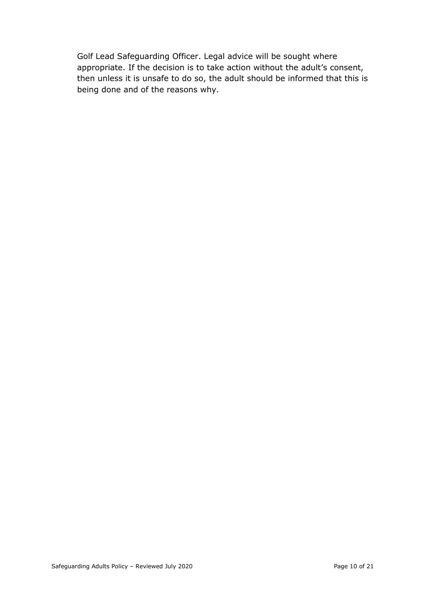Golf Lead Safeguarding Officer. Legal advice will be sought where appropriate. If the decision is to take action without the adult's consent, then unless it is unsafe to do so, the adult should be informed that this is being done and of the reasons why.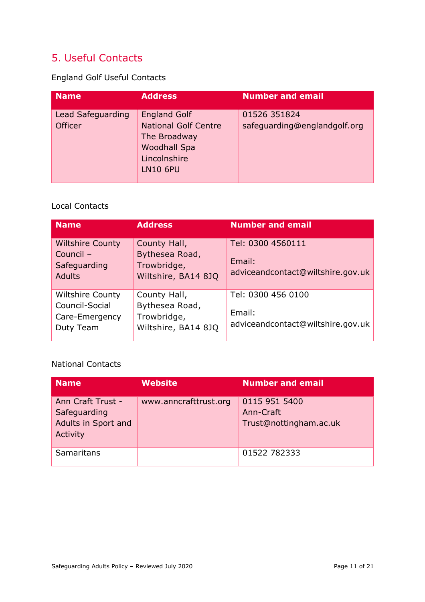## 5. Useful Contacts

England Golf Useful Contacts

| <b>Name</b>                         | <b>Address</b>                                                                                                               | <b>Number and email</b>                      |
|-------------------------------------|------------------------------------------------------------------------------------------------------------------------------|----------------------------------------------|
| Lead Safeguarding<br><b>Officer</b> | <b>England Golf</b><br><b>National Golf Centre</b><br>The Broadway<br><b>Woodhall Spa</b><br>Lincolnshire<br><b>LN10 6PU</b> | 01526 351824<br>safeguarding@englandgolf.org |

#### Local Contacts

| <b>Name</b>                                                              | <b>Address</b>                                                       | <b>Number and email</b>                                           |
|--------------------------------------------------------------------------|----------------------------------------------------------------------|-------------------------------------------------------------------|
| <b>Wiltshire County</b><br>Council -<br>Safeguarding<br><b>Adults</b>    | County Hall,<br>Bythesea Road,<br>Trowbridge,<br>Wiltshire, BA14 8JQ | Tel: 0300 4560111<br>Email:<br>adviceandcontact@wiltshire.gov.uk  |
| <b>Wiltshire County</b><br>Council-Social<br>Care-Emergency<br>Duty Team | County Hall,<br>Bythesea Road,<br>Trowbridge,<br>Wiltshire, BA14 8JQ | Tel: 0300 456 0100<br>Email:<br>adviceandcontact@wiltshire.gov.uk |

#### National Contacts

| <b>Name</b>                                                          | Website               | <b>Number and email</b>                              |
|----------------------------------------------------------------------|-----------------------|------------------------------------------------------|
| Ann Craft Trust -<br>Safeguarding<br>Adults in Sport and<br>Activity | www.anncrafttrust.org | 0115 951 5400<br>Ann-Craft<br>Trust@nottingham.ac.uk |
| Samaritans                                                           |                       | 01522 782333                                         |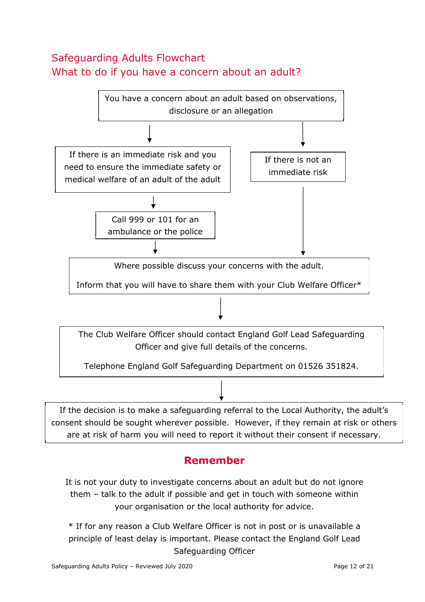## Safeguarding Adults Flowchart What to do if you have a concern about an adult?



## **Remember**

It is not your duty to investigate concerns about an adult but do not ignore them – talk to the adult if possible and get in touch with someone within your organisation or the local authority for advice.

\* If for any reason a Club Welfare Officer is not in post or is unavailable a principle of least delay is important. Please contact the England Golf Lead Safeguarding Officer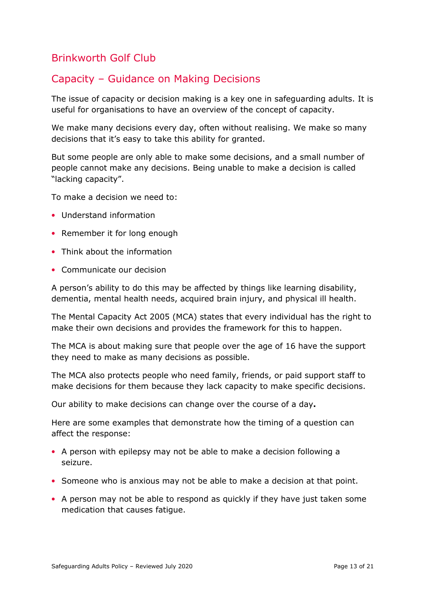## Brinkworth Golf Club

## Capacity – Guidance on Making Decisions

The issue of capacity or decision making is a key one in safeguarding adults. It is useful for organisations to have an overview of the concept of capacity.

We make many decisions every day, often without realising. We make so many decisions that it's easy to take this ability for granted.

But some people are only able to make some decisions, and a small number of people cannot make any decisions. Being unable to make a decision is called "lacking capacity".

To make a decision we need to:

- Understand information
- Remember it for long enough
- Think about the information
- Communicate our decision

A person's ability to do this may be affected by things like learning disability, dementia, mental health needs, acquired brain injury, and physical ill health.

The Mental Capacity Act 2005 (MCA) states that every individual has the right to make their own decisions and provides the framework for this to happen.

The MCA is about making sure that people over the age of 16 have the support they need to make as many decisions as possible.

The MCA also protects people who need family, friends, or paid support staff to make decisions for them because they lack capacity to make specific decisions.

Our ability to make decisions can change over the course of a day**.** 

Here are some examples that demonstrate how the timing of a question can affect the response:

- A person with epilepsy may not be able to make a decision following a seizure.
- Someone who is anxious may not be able to make a decision at that point.
- A person may not be able to respond as quickly if they have just taken some medication that causes fatigue.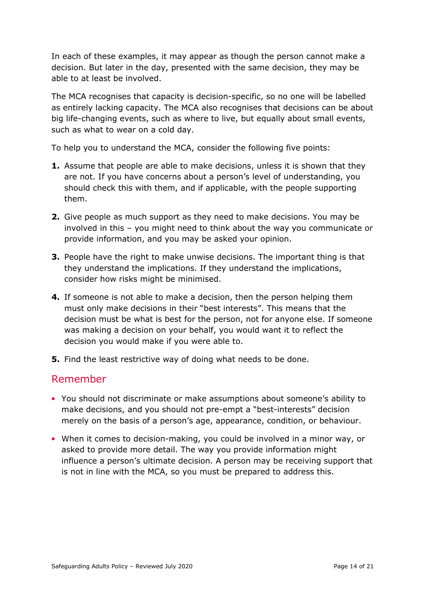In each of these examples, it may appear as though the person cannot make a decision. But later in the day, presented with the same decision, they may be able to at least be involved.

The MCA recognises that capacity is decision-specific, so no one will be labelled as entirely lacking capacity. The MCA also recognises that decisions can be about big life-changing events, such as where to live, but equally about small events, such as what to wear on a cold day.

To help you to understand the MCA, consider the following five points:

- **1.** Assume that people are able to make decisions, unless it is shown that they are not. If you have concerns about a person's level of understanding, you should check this with them, and if applicable, with the people supporting them.
- **2.** Give people as much support as they need to make decisions. You may be involved in this – you might need to think about the way you communicate or provide information, and you may be asked your opinion.
- **3.** People have the right to make unwise decisions. The important thing is that they understand the implications. If they understand the implications, consider how risks might be minimised.
- **4.** If someone is not able to make a decision, then the person helping them must only make decisions in their "best interests". This means that the decision must be what is best for the person, not for anyone else. If someone was making a decision on your behalf, you would want it to reflect the decision you would make if you were able to.
- **5.** Find the least restrictive way of doing what needs to be done.

#### Remember

- You should not discriminate or make assumptions about someone's ability to make decisions, and you should not pre-empt a "best-interests" decision merely on the basis of a person's age, appearance, condition, or behaviour.
- When it comes to decision-making, you could be involved in a minor way, or asked to provide more detail. The way you provide information might influence a person's ultimate decision. A person may be receiving support that is not in line with the MCA, so you must be prepared to address this.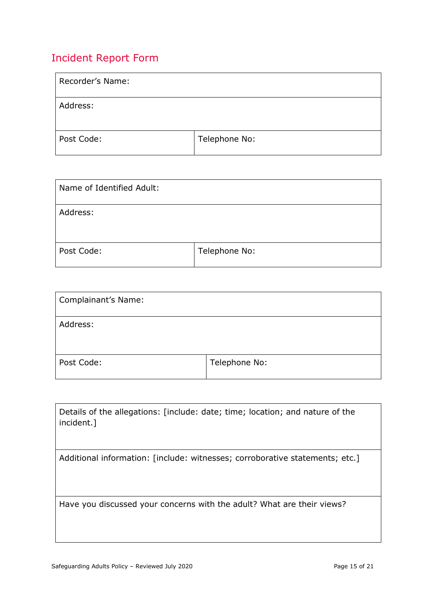## Incident Report Form

| Recorder's Name: |               |
|------------------|---------------|
| Address:         |               |
| Post Code:       | Telephone No: |

| Name of Identified Adult: |               |
|---------------------------|---------------|
| Address:                  |               |
| Post Code:                | Telephone No: |

| <b>Complainant's Name:</b> |               |
|----------------------------|---------------|
| Address:                   |               |
| Post Code:                 | Telephone No: |

| Details of the allegations: [include: date; time; location; and nature of the<br>incident.] |
|---------------------------------------------------------------------------------------------|
| Additional information: [include: witnesses; corroborative statements; etc.]                |
|                                                                                             |
|                                                                                             |
|                                                                                             |
| Have you discussed your concerns with the adult? What are their views?                      |
|                                                                                             |
|                                                                                             |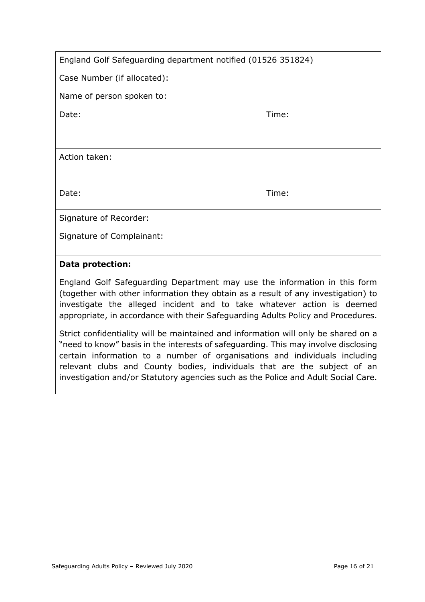| England Golf Safeguarding department notified (01526 351824) |  |
|--------------------------------------------------------------|--|
|--------------------------------------------------------------|--|

Case Number (if allocated):

Name of person spoken to:

Date: Time:

Action taken:

Date: Time:

Signature of Recorder:

Signature of Complainant:

#### **Data protection:**

England Golf Safeguarding Department may use the information in this form (together with other information they obtain as a result of any investigation) to investigate the alleged incident and to take whatever action is deemed appropriate, in accordance with their Safeguarding Adults Policy and Procedures.

Strict confidentiality will be maintained and information will only be shared on a "need to know" basis in the interests of safeguarding. This may involve disclosing certain information to a number of organisations and individuals including relevant clubs and County bodies, individuals that are the subject of an investigation and/or Statutory agencies such as the Police and Adult Social Care.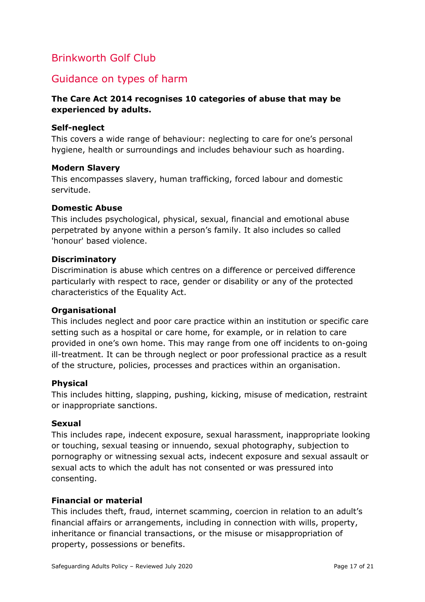## Brinkworth Golf Club

## Guidance on types of harm

#### **The Care Act 2014 recognises 10 categories of abuse that may be experienced by adults.**

#### **Self-neglect**

This covers a wide range of behaviour: neglecting to care for one's personal hygiene, health or surroundings and includes behaviour such as hoarding.

#### **Modern Slavery**

This encompasses slavery, human trafficking, forced labour and domestic servitude.

#### **Domestic Abuse**

This includes psychological, physical, sexual, financial and emotional abuse perpetrated by anyone within a person's family. It also includes so called 'honour' based violence.

#### **Discriminatory**

Discrimination is abuse which centres on a difference or perceived difference particularly with respect to race, gender or disability or any of the protected characteristics of the Equality Act.

#### **Organisational**

This includes neglect and poor care practice within an institution or specific care setting such as a hospital or care home, for example, or in relation to care provided in one's own home. This may range from one off incidents to on-going ill-treatment. It can be through neglect or poor professional practice as a result of the structure, policies, processes and practices within an organisation.

#### **Physical**

This includes hitting, slapping, pushing, kicking, misuse of medication, restraint or inappropriate sanctions.

#### **Sexual**

This includes rape, indecent exposure, sexual harassment, inappropriate looking or touching, sexual teasing or innuendo, sexual photography, subjection to pornography or witnessing sexual acts, indecent exposure and sexual assault or sexual acts to which the adult has not consented or was pressured into consenting.

#### **Financial or material**

This includes theft, fraud, internet scamming, coercion in relation to an adult's financial affairs or arrangements, including in connection with wills, property, inheritance or financial transactions, or the misuse or misappropriation of property, possessions or benefits.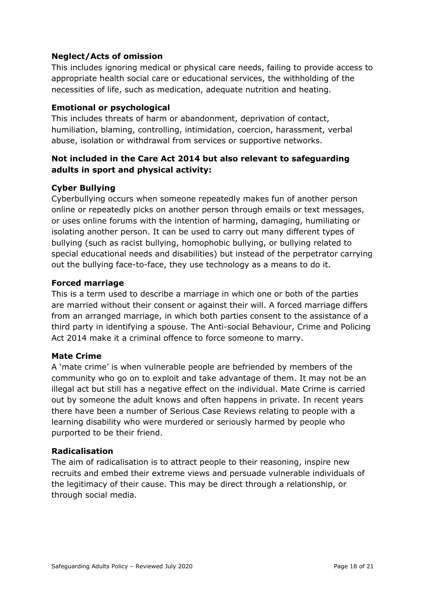#### **Neglect/Acts of omission**

This includes ignoring medical or physical care needs, failing to provide access to appropriate health social care or educational services, the withholding of the necessities of life, such as medication, adequate nutrition and heating.

#### **Emotional or psychological**

This includes threats of harm or abandonment, deprivation of contact, humiliation, blaming, controlling, intimidation, coercion, harassment, verbal abuse, isolation or withdrawal from services or supportive networks.

#### **Not included in the Care Act 2014 but also relevant to safeguarding adults in sport and physical activity:**

#### **Cyber Bullying**

Cyberbullying occurs when someone repeatedly makes fun of another person online or repeatedly picks on another person through emails or text messages, or uses online forums with the intention of harming, damaging, humiliating or isolating another person. It can be used to carry out many different types of bullying (such as racist bullying, homophobic bullying, or bullying related to special educational needs and disabilities) but instead of the perpetrator carrying out the bullying face-to-face, they use technology as a means to do it.

#### **Forced marriage**

This is a term used to describe a marriage in which one or both of the parties are married without their consent or against their will. A forced marriage differs from an arranged marriage, in which both parties consent to the assistance of a third party in identifying a spouse. The Anti-social Behaviour, Crime and Policing Act 2014 make it a criminal offence to force someone to marry.

#### **Mate Crime**

A 'mate crime' is when vulnerable people are befriended by members of the community who go on to exploit and take advantage of them. It may not be an illegal act but still has a negative effect on the individual. Mate Crime is carried out by someone the adult knows and often happens in private. In recent years there have been a number of Serious Case Reviews relating to people with a learning disability who were murdered or seriously harmed by people who purported to be their friend.

#### **Radicalisation**

The aim of radicalisation is to attract people to their reasoning, inspire new recruits and embed their extreme views and persuade vulnerable individuals of the legitimacy of their cause. This may be direct through a relationship, or through social media.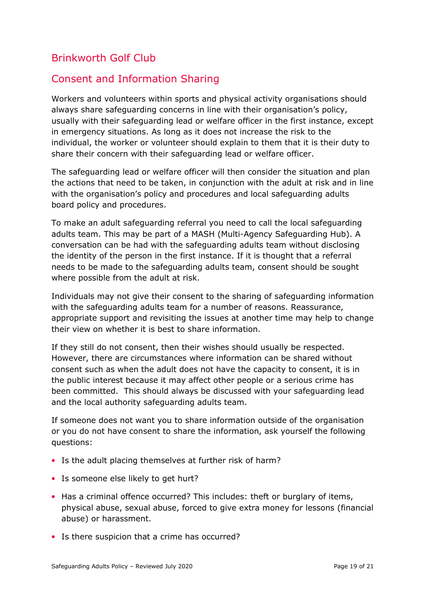## Brinkworth Golf Club

## Consent and Information Sharing

Workers and volunteers within sports and physical activity organisations should always share safeguarding concerns in line with their organisation's policy, usually with their safeguarding lead or welfare officer in the first instance, except in emergency situations. As long as it does not increase the risk to the individual, the worker or volunteer should explain to them that it is their duty to share their concern with their safeguarding lead or welfare officer.

The safeguarding lead or welfare officer will then consider the situation and plan the actions that need to be taken, in conjunction with the adult at risk and in line with the organisation's policy and procedures and local safeguarding adults board policy and procedures.

To make an adult safeguarding referral you need to call the local safeguarding adults team. This may be part of a MASH (Multi*-*Agency Safeguarding Hub). A conversation can be had with the safeguarding adults team without disclosing the identity of the person in the first instance. If it is thought that a referral needs to be made to the safeguarding adults team, consent should be sought where possible from the adult at risk.

Individuals may not give their consent to the sharing of safeguarding information with the safeguarding adults team for a number of reasons. Reassurance, appropriate support and revisiting the issues at another time may help to change their view on whether it is best to share information.

If they still do not consent, then their wishes should usually be respected. However, there are circumstances where information can be shared without consent such as when the adult does not have the capacity to consent, it is in the public interest because it may affect other people or a serious crime has been committed. This should always be discussed with your safeguarding lead and the local authority safeguarding adults team.

If someone does not want you to share information outside of the organisation or you do not have consent to share the information, ask yourself the following questions:

- Is the adult placing themselves at further risk of harm?
- Is someone else likely to get hurt?
- Has a criminal offence occurred? This includes: theft or burglary of items, physical abuse, sexual abuse, forced to give extra money for lessons (financial abuse) or harassment.
- Is there suspicion that a crime has occurred?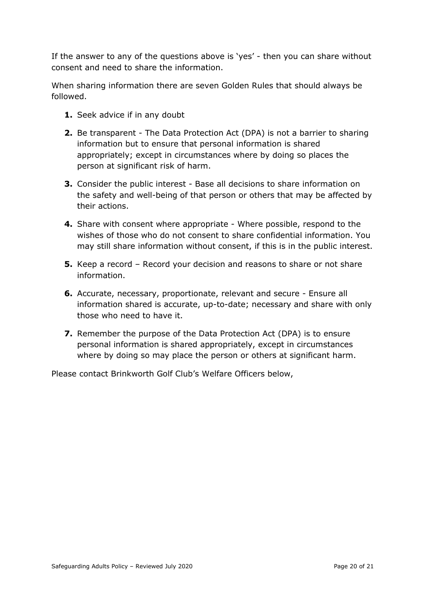If the answer to any of the questions above is 'yes' - then you can share without consent and need to share the information.

When sharing information there are seven Golden Rules that should always be followed.

- **1.** Seek advice if in any doubt
- **2.** Be transparent The Data Protection Act (DPA) is not a barrier to sharing information but to ensure that personal information is shared appropriately; except in circumstances where by doing so places the person at significant risk of harm.
- **3.** Consider the public interest Base all decisions to share information on the safety and well-being of that person or others that may be affected by their actions.
- **4.** Share with consent where appropriate Where possible, respond to the wishes of those who do not consent to share confidential information. You may still share information without consent, if this is in the public interest.
- **5.** Keep a record Record your decision and reasons to share or not share information.
- **6.** Accurate, necessary, proportionate, relevant and secure Ensure all information shared is accurate, up-to-date; necessary and share with only those who need to have it.
- **7.** Remember the purpose of the Data Protection Act (DPA) is to ensure personal information is shared appropriately, except in circumstances where by doing so may place the person or others at significant harm.

Please contact Brinkworth Golf Club's Welfare Officers below,